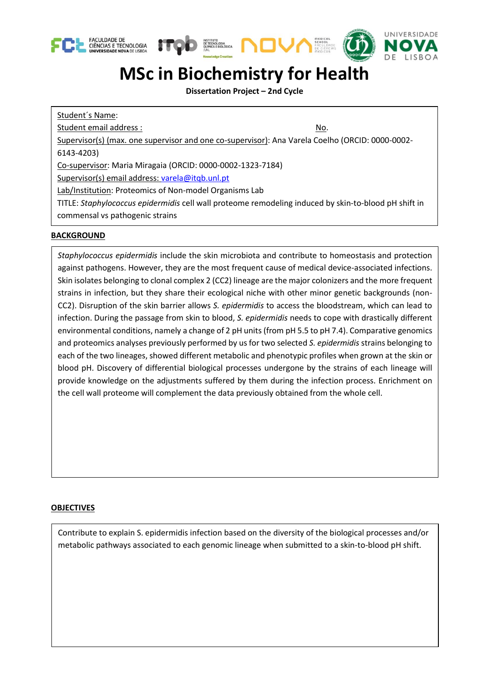





## **MSc in Biochemistry for Health**

**Dissertation Project – 2nd Cycle**

Student´s Name: Student email address : No. Supervisor(s) (max. one supervisor and one co-supervisor): Ana Varela Coelho (ORCID[: 0000-0002-](http://orcid.org/0000-0002-6143-4203) [6143-4203\)](http://orcid.org/0000-0002-6143-4203) Co-supervisor: Maria Miragaia (ORCID: 0000-0002-1323-7184) Supervisor(s) email address: [varela@itqb.unl.pt](mailto:varela@itqb.unl.pt) Lab/Institution: Proteomics of Non-model Organisms Lab TITLE: *Staphylococcus epidermidis* cell wall proteome remodeling induced by skin-to-blood pH shift in commensal vs pathogenic strains

## **BACKGROUND**

*Staphylococcus epidermidis* include the skin microbiota and contribute to homeostasis and protection against pathogens. However, they are the most frequent cause of medical device-associated infections. Skin isolates belonging to clonal complex 2 (CC2) lineage are the major colonizers and the more frequent strains in infection, but they share their ecological niche with other minor genetic backgrounds (non-CC2). Disruption of the skin barrier allows *S. epidermidis* to access the bloodstream, which can lead to infection. During the passage from skin to blood, *S. epidermidis* needs to cope with drastically different environmental conditions, namely a change of 2 pH units (from pH 5.5 to pH 7.4). Comparative genomics and proteomics analyses previously performed by us for two selected *S. epidermidis* strains belonging to each of the two lineages, showed different metabolic and phenotypic profiles when grown at the skin or blood pH. Discovery of differential biological processes undergone by the strains of each lineage will provide knowledge on the adjustments suffered by them during the infection process. Enrichment on the cell wall proteome will complement the data previously obtained from the whole cell.

## **OBJECTIVES**

Contribute to explain S. epidermidis infection based on the diversity of the biological processes and/or metabolic pathways associated to each genomic lineage when submitted to a skin-to-blood pH shift.